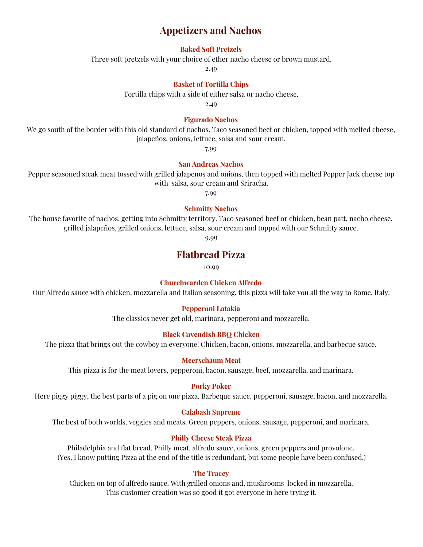# **Appetizers and Nachos**

## **Baked Soft Pretzels**

Three soft pretzels with your choice of ether nacho cheese or brown mustard.

2.49

#### **Basket of Tortilla Chips**

Tortilla chips with a side of either salsa or nacho cheese.

2.49

#### **Figurado Nachos**

We go south of the border with this old standard of nachos. Taco seasoned beef or chicken, topped with melted cheese, jalapeños, onions, lettuce, salsa and sour cream.

7.99

#### **San Andreas Nachos**

Pepper seasoned steak meat tossed with grilled jalapenos and onions, then topped with melted Pepper Jack cheese top with salsa, sour cream and Sriracha.

7.99

#### **Schmitty Nachos**

The house favorite of nachos, getting into Schmitty territory. Taco seasoned beef or chicken, bean patt, nacho cheese, grilled jalapeños, grilled onions, lettuce, salsa, sour cream and topped with our Schmitty sauce.

9.99

## **Flatbread Pizza**

10.99

#### **Churchwarden Chicken Alfredo**

Our Alfredo sauce with chicken, mozzarella and Italian seasoning, this pizza will take you all the way to Rome, Italy.

#### **Pepperoni Latakia**

The classics never get old, marinara, pepperoni and mozzarella.

#### **Black Cavendish BBQ Chicken**

The pizza that brings out the cowboy in everyone! Chicken, bacon, onions, mozzarella, and barbecue sauce.

#### **Meerschaum Meat**

This pizza is for the meat lovers, pepperoni, bacon, sausage, beef, mozzarella, and marinara.

#### **Porky Poker**

Here piggy piggy, the best parts of a pig on one pizza. Barbeque sauce, pepperoni, sausage, bacon, and mozzarella.

#### **Calabash Supreme**

The best of both worlds, veggies and meats. Green peppers, onions, sausage, pepperoni, and marinara.

#### **Philly Cheese Steak Pizza**

Philadelphia and flat bread. Philly meat, alfredo sauce, onions, green peppers and provolone. (Yes, I know putting Pizza at the end of the title is redundant, but some people have been confused.)

#### **The Tracey**

Chicken on top of alfredo sauce. With grilled onions and, mushrooms locked in mozzarella. This customer creation was so good it got everyone in here trying it.